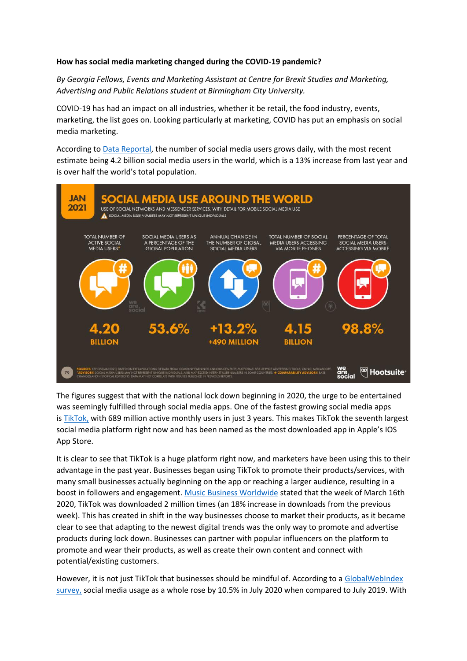## **How has social media marketing changed during the COVID-19 pandemic?**

*By Georgia Fellows, Events and Marketing Assistant at Centre for Brexit Studies and Marketing, Advertising and Public Relations student at Birmingham City University.*

COVID-19 has had an impact on all industries, whether it be retail, the food industry, events, marketing, the list goes on. Looking particularly at marketing, COVID has put an emphasis on social media marketing.

According to [Data Reportal,](https://datareportal.com/reports/digital-2021-global-overview-report#:~:text=Social%20media%20user%20numbers%20increased,by%20the%20start%20of%202021.) the number of social media users grows daily, with the most recent estimate being 4.2 billion social media users in the world, which is a 13% increase from last year and is over half the world's total population.



The figures suggest that with the national lock down beginning in 2020, the urge to be entertained was seemingly fulfilled through social media apps. One of the fastest growing social media apps is [TikTok,](https://www.oberlo.com/blog/tiktok-statistics) with 689 million active monthly users in just 3 years. This makes TikTok the seventh largest social media platform right now and has been named as the most downloaded app in Apple's IOS App Store.

It is clear to see that TikTok is a huge platform right now, and marketers have been using this to their advantage in the past year. Businesses began using TikTok to promote their products/services, with many small businesses actually beginning on the app or reaching a larger audience, resulting in a boost in followers and engagement. [Music Business Worldwide](https://tinuiti.com/blog/marketing-news-covid-19/tiktok-covid-19/) stated that the week of March 16th 2020, TikTok was downloaded 2 million times (an 18% increase in downloads from the previous week). This has created in shift in the way businesses choose to market their products, as it became clear to see that adapting to the newest digital trends was the only way to promote and advertise products during lock down. Businesses can partner with popular influencers on the platform to promote and wear their products, as well as create their own content and connect with potential/existing customers.

However, it is not just TikTok that businesses should be mindful of. According to a [GlobalWebIndex](https://datareportal.com/reports/digital-2020-july-global-statshot)  [survey,](https://datareportal.com/reports/digital-2020-july-global-statshot) social media usage as a whole rose by 10.5% in July 2020 when compared to July 2019. With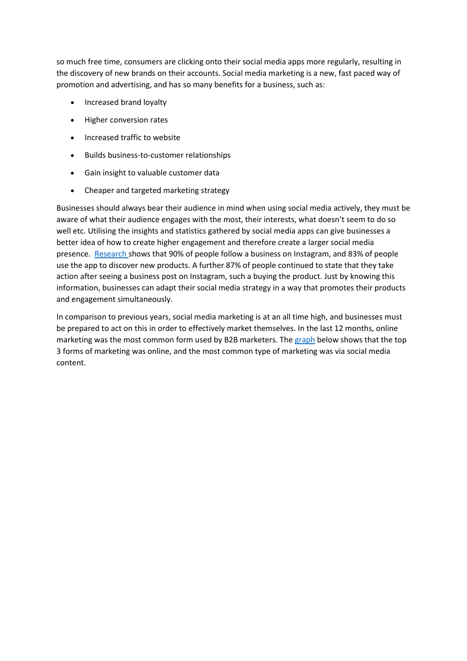so much free time, consumers are clicking onto their social media apps more regularly, resulting in the discovery of new brands on their accounts. Social media marketing is a new, fast paced way of promotion and advertising, and has so many benefits for a business, such as:

- Increased brand loyalty
- Higher conversion rates
- Increased traffic to website
- Builds business-to-customer relationships
- Gain insight to valuable customer data
- Cheaper and targeted marketing strategy

Businesses should always bear their audience in mind when using social media actively, they must be aware of what their audience engages with the most, their interests, what doesn't seem to do so well etc. Utilising the insights and statistics gathered by social media apps can give businesses a better idea of how to create higher engagement and therefore create a larger social media presence. [Research](https://blog.hubspot.com/blog/tabid/6307/bid/23865/13-mind-bending-social-media-marketing-statistics.aspx) shows that 90% of people follow a business on Instagram, and 83% of people use the app to discover new products. A further 87% of people continued to state that they take action after seeing a business post on Instagram, such a buying the product. Just by knowing this information, businesses can adapt their social media strategy in a way that promotes their products and engagement simultaneously.

In comparison to previous years, social media marketing is at an all time high, and businesses must be prepared to act on this in order to effectively market themselves. In the last 12 months, online marketing was the most common form used by B2B marketers. The [graph](https://www.wordstream.com/blog/ws/2020/01/07/best-marketing-strategies) below shows that the top 3 forms of marketing was online, and the most common type of marketing was via social media content.